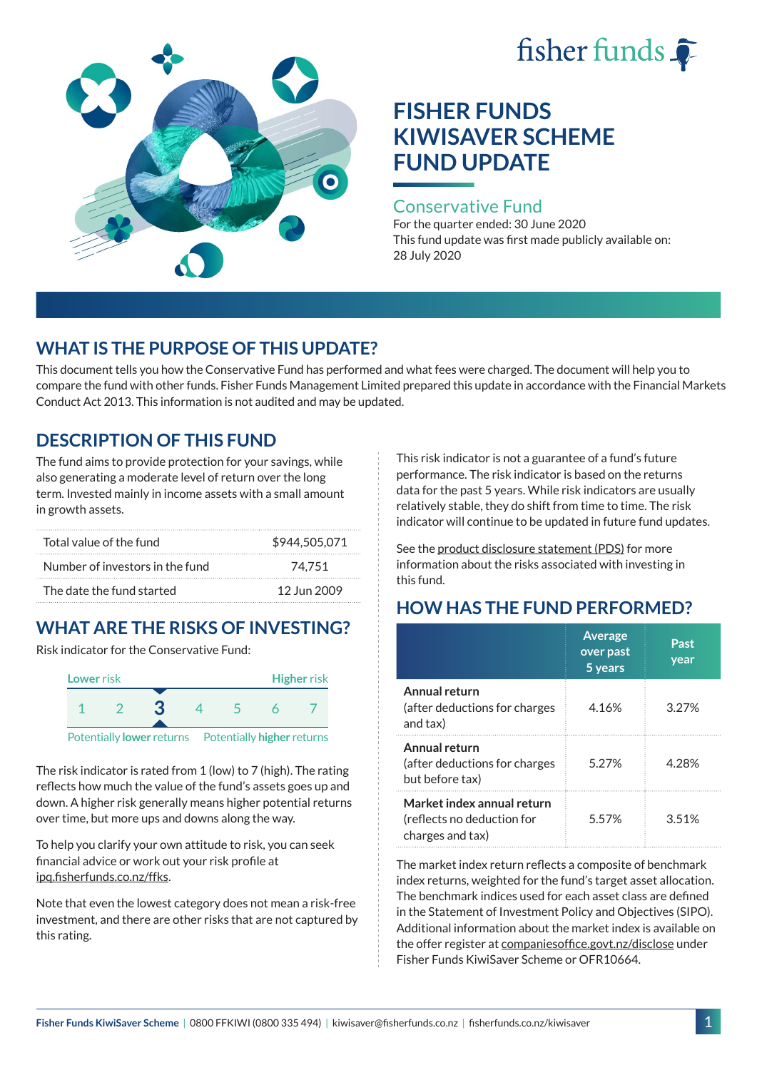# fisher funds  $\hat{\bullet}$



# **FISHER FUNDS KIWISAVER SCHEME FUND UPDATE**

## Conservative Fund

For the quarter ended: 30 June 2020 This fund update was first made publicly available on: 28 July 2020

## **WHAT IS THE PURPOSE OF THIS UPDATE?**

This document tells you how the Conservative Fund has performed and what fees were charged. The document will help you to compare the fund with other funds. Fisher Funds Management Limited prepared this update in accordance with the Financial Markets Conduct Act 2013. This information is not audited and may be updated.

## **DESCRIPTION OF THIS FUND**

The fund aims to provide protection for your savings, while also generating a moderate level of return over the long term. Invested mainly in income assets with a small amount in growth assets.

| Total value of the fund         | \$944,505,071 |
|---------------------------------|---------------|
| Number of investors in the fund | 74.751        |
| The date the fund started       | 12 Jun 2009   |

# **WHAT ARE THE RISKS OF INVESTING?**

Risk indicator for the Conservative Fund:



The risk indicator is rated from 1 (low) to 7 (high). The rating reflects how much the value of the fund's assets goes up and down. A higher risk generally means higher potential returns over time, but more ups and downs along the way.

To help you clarify your own attitude to risk, you can seek financial advice or work out your risk profile at [ipq.fisherfunds.co.nz/ffks](https://ipq.fisherfunds.co.nz/ffks).

Note that even the lowest category does not mean a risk-free investment, and there are other risks that are not captured by this rating.

This risk indicator is not a guarantee of a fund's future performance. The risk indicator is based on the returns data for the past 5 years. While risk indicators are usually relatively stable, they do shift from time to time. The risk indicator will continue to be updated in future fund updates.

See the [product disclosure statement \(PDS\)](https://fisherfunds.co.nz/assets/PDS/Fisher-Funds-KiwiSaver-Scheme-PDS.pdf) for more information about the risks associated with investing in this fund.

# **HOW HAS THE FUND PERFORMED?**

|                                                                              | <b>Average</b><br>over past<br>5 years | Past<br>year |
|------------------------------------------------------------------------------|----------------------------------------|--------------|
| Annual return<br>(after deductions for charges<br>and tax)                   | 4.16%                                  | 3 2 7 %      |
| Annual return<br>(after deductions for charges<br>but before tax)            | 5 2 7 %                                | 4.28%        |
| Market index annual return<br>(reflects no deduction for<br>charges and tax) | 5.57%                                  | 3.51%        |

The market index return reflects a composite of benchmark index returns, weighted for the fund's target asset allocation. The benchmark indices used for each asset class are defined in the Statement of Investment Policy and Objectives (SIPO). Additional information about the market index is available on the offer register at [companiesoffice.govt.nz/disclose](http://companiesoffice.govt.nz/disclose) under Fisher Funds KiwiSaver Scheme or OFR10664.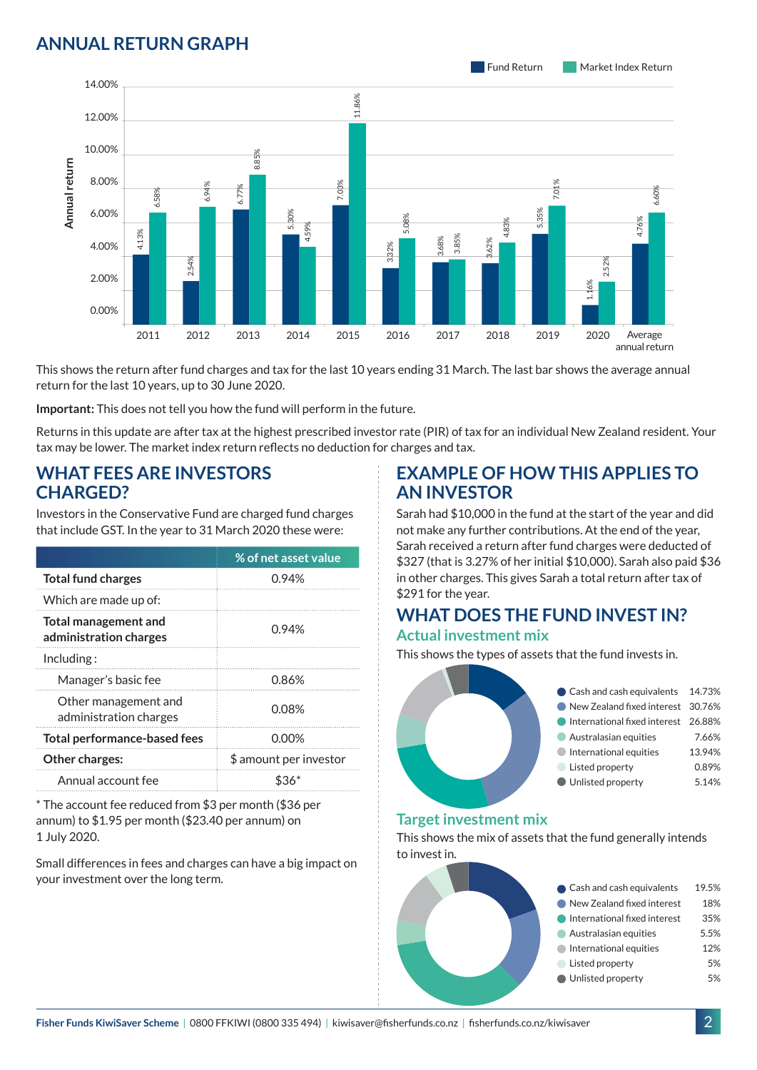## **ANNUAL RETURN GRAPH**



This shows the return after fund charges and tax for the last 10 years ending 31 March. The last bar shows the average annual return for the last 10 years, up to 30 June 2020.

**Important:** This does not tell you how the fund will perform in the future.

Returns in this update are after tax at the highest prescribed investor rate (PIR) of tax for an individual New Zealand resident. Your tax may be lower. The market index return reflects no deduction for charges and tax.

#### **WHAT FEES ARE INVESTORS CHARGED?**

Investors in the Conservative Fund are charged fund charges that include GST. In the year to 31 March 2020 these were:

|                                                       | % of net asset value   |  |
|-------------------------------------------------------|------------------------|--|
| <b>Total fund charges</b>                             | 0.94%                  |  |
| Which are made up of:                                 |                        |  |
| <b>Total management and</b><br>administration charges | 0.94%                  |  |
| Inding:                                               |                        |  |
| Manager's basic fee                                   | 0.86%                  |  |
| Other management and<br>administration charges        | 0.08%                  |  |
| <b>Total performance-based fees</b>                   | 0.00%                  |  |
| <b>Other charges:</b>                                 | \$ amount per investor |  |
| Annual account fee                                    |                        |  |

\* The account fee reduced from \$3 per month (\$36 per annum) to \$1.95 per month (\$23.40 per annum) on 1 July 2020.

Small differences in fees and charges can have a big impact on your investment over the long term.

## **EXAMPLE OF HOW THIS APPLIES TO AN INVESTOR**

Sarah had \$10,000 in the fund at the start of the year and did not make any further contributions. At the end of the year, Sarah received a return after fund charges were deducted of \$327 (that is 3.27% of her initial \$10,000). Sarah also paid \$36 in other charges. This gives Sarah a total return after tax of \$291 for the year.

#### **WHAT DOES THE FUND INVEST IN? Actual investment mix**

This shows the types of assets that the fund invests in.

| Cash and cash equivalents 14.73%    |        |
|-------------------------------------|--------|
| New Zealand fixed interest 30.76%   |        |
| International fixed interest 26.88% |        |
| Australasian equities               | 7.66%  |
| International equities              | 13.94% |
| Listed property                     | 0.89%  |
| Unlisted property                   | 5.14%  |
|                                     |        |

#### **Target investment mix**

This shows the mix of assets that the fund generally intends to invest in.